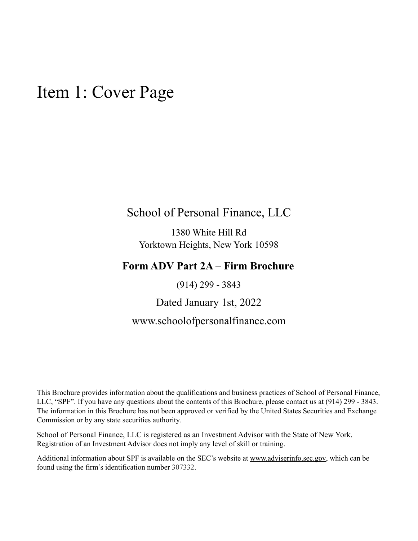## <span id="page-0-0"></span>Item 1: Cover Page

## School of Personal Finance, LLC

1380 White Hill Rd Yorktown Heights, New York 10598

## **Form ADV Part 2A – Firm Brochure**

(914) 299 - 3843

### Dated January 1st, 2022

## www.schoolofpersonalfinance.com

This Brochure provides information about the qualifications and business practices of School of Personal Finance, LLC, "SPF". If you have any questions about the contents of this Brochure, please contact us at (914) 299 - 3843. The information in this Brochure has not been approved or verified by the United States Securities and Exchange Commission or by any state securities authority.

School of Personal Finance, LLC is registered as an Investment Advisor with the State of New York. Registration of an Investment Advisor does not imply any level of skill or training.

Additional information about SPF is available on the SEC's website at [www.adviserinfo.sec.gov,](http://www.adviserinfo.sec.gov) which can be found using the firm's identification number 307332.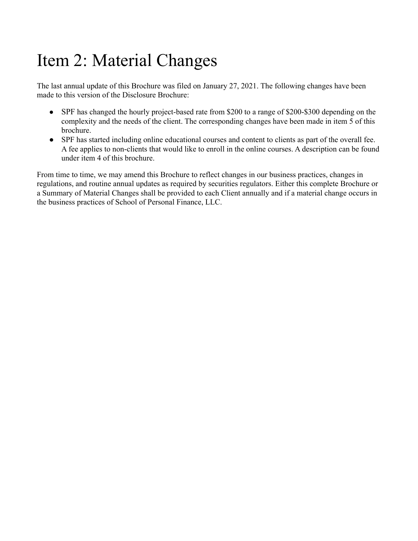# <span id="page-1-0"></span>Item 2: Material Changes

The last annual update of this Brochure was filed on January 27, 2021. The following changes have been made to this version of the Disclosure Brochure:

- SPF has changed the hourly project-based rate from \$200 to a range of \$200-\$300 depending on the complexity and the needs of the client. The corresponding changes have been made in item 5 of this brochure.
- SPF has started including online educational courses and content to clients as part of the overall fee. A fee applies to non-clients that would like to enroll in the online courses. A description can be found under item 4 of this brochure.

From time to time, we may amend this Brochure to reflect changes in our business practices, changes in regulations, and routine annual updates as required by securities regulators. Either this complete Brochure or a Summary of Material Changes shall be provided to each Client annually and if a material change occurs in the business practices of School of Personal Finance, LLC.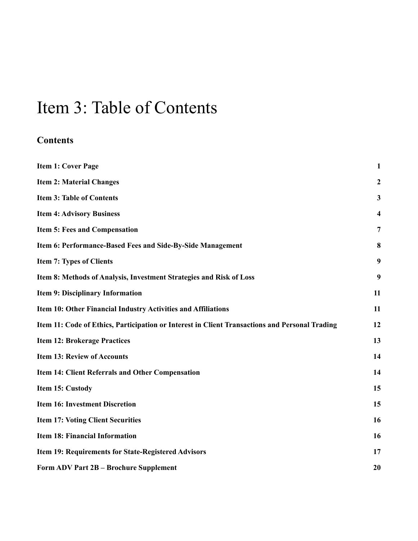## <span id="page-2-0"></span>Item 3: Table of Contents

## **Contents**

| <b>Item 1: Cover Page</b>                                                                      | $\mathbf{1}$   |
|------------------------------------------------------------------------------------------------|----------------|
| <b>Item 2: Material Changes</b>                                                                | $\mathbf{2}$   |
| <b>Item 3: Table of Contents</b>                                                               | $\mathbf{3}$   |
| <b>Item 4: Advisory Business</b>                                                               | 4              |
| Item 5: Fees and Compensation                                                                  | $\overline{7}$ |
| Item 6: Performance-Based Fees and Side-By-Side Management                                     | 8              |
| <b>Item 7: Types of Clients</b>                                                                | 9              |
| Item 8: Methods of Analysis, Investment Strategies and Risk of Loss                            | 9              |
| <b>Item 9: Disciplinary Information</b>                                                        | 11             |
| Item 10: Other Financial Industry Activities and Affiliations                                  | 11             |
| Item 11: Code of Ethics, Participation or Interest in Client Transactions and Personal Trading | 12             |
| <b>Item 12: Brokerage Practices</b>                                                            | 13             |
| <b>Item 13: Review of Accounts</b>                                                             | 14             |
| Item 14: Client Referrals and Other Compensation                                               | 14             |
| Item 15: Custody                                                                               | 15             |
| <b>Item 16: Investment Discretion</b>                                                          | 15             |
| <b>Item 17: Voting Client Securities</b>                                                       | 16             |
| <b>Item 18: Financial Information</b>                                                          | 16             |
| Item 19: Requirements for State-Registered Advisors                                            | 17             |
| <b>Form ADV Part 2B - Brochure Supplement</b>                                                  | 20             |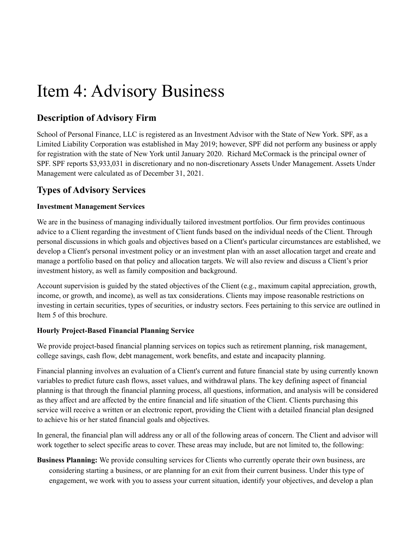## <span id="page-3-0"></span>Item 4: Advisory Business

### **Description of Advisory Firm**

School of Personal Finance, LLC is registered as an Investment Advisor with the State of New York. SPF, as a Limited Liability Corporation was established in May 2019; however, SPF did not perform any business or apply for registration with the state of New York until January 2020. Richard McCormack is the principal owner of SPF. SPF reports \$3,933,031 in discretionary and no non-discretionary Assets Under Management. Assets Under Management were calculated as of December 31, 2021.

### **Types of Advisory Services**

#### **Investment Management Services**

We are in the business of managing individually tailored investment portfolios. Our firm provides continuous advice to a Client regarding the investment of Client funds based on the individual needs of the Client. Through personal discussions in which goals and objectives based on a Client's particular circumstances are established, we develop a Client's personal investment policy or an investment plan with an asset allocation target and create and manage a portfolio based on that policy and allocation targets. We will also review and discuss a Client's prior investment history, as well as family composition and background.

Account supervision is guided by the stated objectives of the Client (e.g., maximum capital appreciation, growth, income, or growth, and income), as well as tax considerations. Clients may impose reasonable restrictions on investing in certain securities, types of securities, or industry sectors. Fees pertaining to this service are outlined in Item 5 of this brochure.

#### **Hourly Project-Based Financial Planning Service**

We provide project-based financial planning services on topics such as retirement planning, risk management, college savings, cash flow, debt management, work benefits, and estate and incapacity planning.

Financial planning involves an evaluation of a Client's current and future financial state by using currently known variables to predict future cash flows, asset values, and withdrawal plans. The key defining aspect of financial planning is that through the financial planning process, all questions, information, and analysis will be considered as they affect and are affected by the entire financial and life situation of the Client. Clients purchasing this service will receive a written or an electronic report, providing the Client with a detailed financial plan designed to achieve his or her stated financial goals and objectives.

In general, the financial plan will address any or all of the following areas of concern. The Client and advisor will work together to select specific areas to cover. These areas may include, but are not limited to, the following:

**Business Planning:** We provide consulting services for Clients who currently operate their own business, are considering starting a business, or are planning for an exit from their current business. Under this type of engagement, we work with you to assess your current situation, identify your objectives, and develop a plan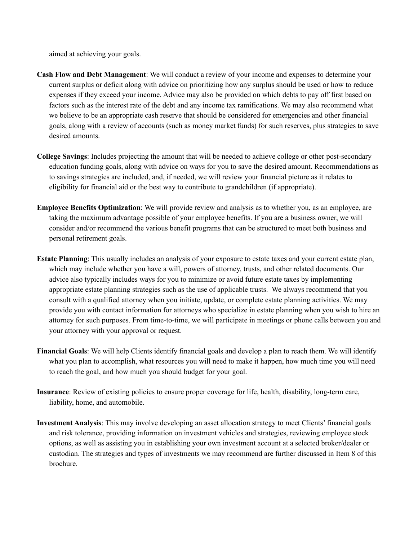aimed at achieving your goals.

- **Cash Flow and Debt Management**: We will conduct a review of your income and expenses to determine your current surplus or deficit along with advice on prioritizing how any surplus should be used or how to reduce expenses if they exceed your income. Advice may also be provided on which debts to pay off first based on factors such as the interest rate of the debt and any income tax ramifications. We may also recommend what we believe to be an appropriate cash reserve that should be considered for emergencies and other financial goals, along with a review of accounts (such as money market funds) for such reserves, plus strategies to save desired amounts.
- **College Savings**: Includes projecting the amount that will be needed to achieve college or other post-secondary education funding goals, along with advice on ways for you to save the desired amount. Recommendations as to savings strategies are included, and, if needed, we will review your financial picture as it relates to eligibility for financial aid or the best way to contribute to grandchildren (if appropriate).
- **Employee Benefits Optimization**: We will provide review and analysis as to whether you, as an employee, are taking the maximum advantage possible of your employee benefits. If you are a business owner, we will consider and/or recommend the various benefit programs that can be structured to meet both business and personal retirement goals.
- **Estate Planning**: This usually includes an analysis of your exposure to estate taxes and your current estate plan, which may include whether you have a will, powers of attorney, trusts, and other related documents. Our advice also typically includes ways for you to minimize or avoid future estate taxes by implementing appropriate estate planning strategies such as the use of applicable trusts. We always recommend that you consult with a qualified attorney when you initiate, update, or complete estate planning activities. We may provide you with contact information for attorneys who specialize in estate planning when you wish to hire an attorney for such purposes. From time-to-time, we will participate in meetings or phone calls between you and your attorney with your approval or request.
- **Financial Goals**: We will help Clients identify financial goals and develop a plan to reach them. We will identify what you plan to accomplish, what resources you will need to make it happen, how much time you will need to reach the goal, and how much you should budget for your goal.
- **Insurance**: Review of existing policies to ensure proper coverage for life, health, disability, long-term care, liability, home, and automobile.
- **Investment Analysis**: This may involve developing an asset allocation strategy to meet Clients' financial goals and risk tolerance, providing information on investment vehicles and strategies, reviewing employee stock options, as well as assisting you in establishing your own investment account at a selected broker/dealer or custodian. The strategies and types of investments we may recommend are further discussed in Item 8 of this brochure.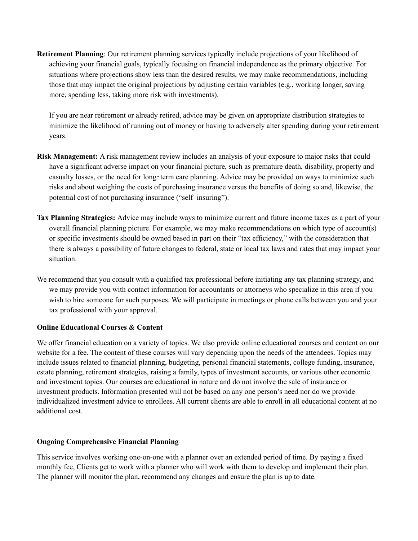**Retirement Planning**: Our retirement planning services typically include projections of your likelihood of achieving your financial goals, typically focusing on financial independence as the primary objective. For situations where projections show less than the desired results, we may make recommendations, including those that may impact the original projections by adjusting certain variables (e.g., working longer, saving more, spending less, taking more risk with investments).

If you are near retirement or already retired, advice may be given on appropriate distribution strategies to minimize the likelihood of running out of money or having to adversely alter spending during your retirement years.

- **Risk Management:** A risk management review includes an analysis of your exposure to major risks that could have a significant adverse impact on your financial picture, such as premature death, disability, property and casualty losses, or the need for long-term care planning. Advice may be provided on ways to minimize such risks and about weighing the costs of purchasing insurance versus the benefits of doing so and, likewise, the potential cost of not purchasing insurance ("self‐insuring").
- **Tax Planning Strategies:** Advice may include ways to minimize current and future income taxes as a part of your overall financial planning picture. For example, we may make recommendations on which type of account(s) or specific investments should be owned based in part on their "tax efficiency," with the consideration that there is always a possibility of future changes to federal, state or local tax laws and rates that may impact your situation.
- We recommend that you consult with a qualified tax professional before initiating any tax planning strategy, and we may provide you with contact information for accountants or attorneys who specialize in this area if you wish to hire someone for such purposes. We will participate in meetings or phone calls between you and your tax professional with your approval.

#### **Online Educational Courses & Content**

We offer financial education on a variety of topics. We also provide online educational courses and content on our website for a fee. The content of these courses will vary depending upon the needs of the attendees. Topics may include issues related to financial planning, budgeting, personal financial statements, college funding, insurance, estate planning, retirement strategies, raising a family, types of investment accounts, or various other economic and investment topics. Our courses are educational in nature and do not involve the sale of insurance or investment products. Information presented will not be based on any one person's need nor do we provide individualized investment advice to enrollees. All current clients are able to enroll in all educational content at no additional cost.

#### **Ongoing Comprehensive Financial Planning**

This service involves working one-on-one with a planner over an extended period of time. By paying a fixed monthly fee, Clients get to work with a planner who will work with them to develop and implement their plan. The planner will monitor the plan, recommend any changes and ensure the plan is up to date.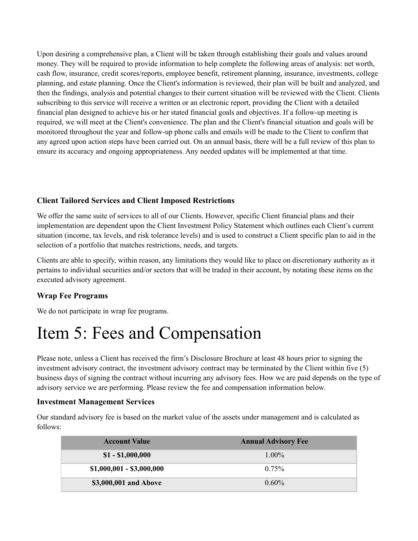Upon desiring a comprehensive plan, a Client will be taken through establishing their goals and values around money. They will be required to provide information to help complete the following areas of analysis: net worth, cash flow, insurance, credit scores/reports, employee benefit, retirement planning, insurance, investments, college planning, and estate planning. Once the Client's information is reviewed, their plan will be built and analyzed, and then the findings, analysis and potential changes to their current situation will be reviewed with the Client. Clients subscribing to this service will receive a written or an electronic report, providing the Client with a detailed financial plan designed to achieve his or her stated financial goals and objectives. If a follow-up meeting is required, we will meet at the Client's convenience. The plan and the Client's financial situation and goals will be monitored throughout the year and follow-up phone calls and emails will be made to the Client to confirm that any agreed upon action steps have been carried out. On an annual basis, there will be a full review of this plan to ensure its accuracy and ongoing appropriateness. Any needed updates will be implemented at that time.

#### **Client Tailored Services and Client Imposed Restrictions**

We offer the same suite of services to all of our Clients. However, specific Client financial plans and their implementation are dependent upon the Client Investment Policy Statement which outlines each Client's current situation (income, tax levels, and risk tolerance levels) and is used to construct a Client specific plan to aid in the selection of a portfolio that matches restrictions, needs, and targets.

Clients are able to specify, within reason, any limitations they would like to place on discretionary authority as it pertains to individual securities and/or sectors that will be traded in their account, by notating these items on the executed advisory agreement.

#### **Wrap Fee Programs**

We do not participate in wrap fee programs.

## <span id="page-6-0"></span>Item 5: Fees and Compensation

Please note, unless a Client has received the firm's Disclosure Brochure at least 48 hours prior to signing the investment advisory contract, the investment advisory contract may be terminated by the Client within five (5) business days of signing the contract without incurring any advisory fees. How we are paid depends on the type of advisory service we are performing. Please review the fee and compensation information below.

#### **Investment Management Services**

Our standard advisory fee is based on the market value of the assets under management and is calculated as follows:

| <b>Account Value</b>      | <b>Annual Advisory Fee</b> |
|---------------------------|----------------------------|
| $$1 - $1,000,000$         | $1.00\%$                   |
| $$1,000,001 - $3,000,000$ | $0.75\%$                   |
| \$3,000,001 and Above     | $0.60\%$                   |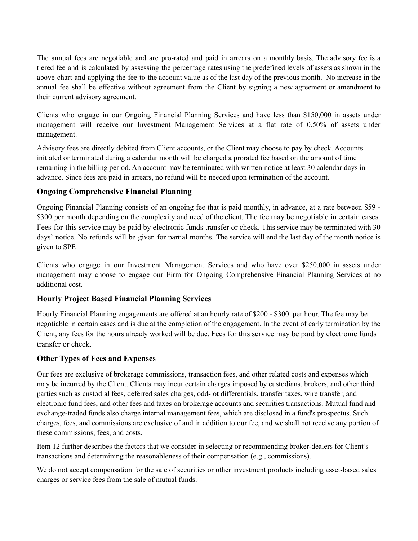The annual fees are negotiable and are pro-rated and paid in arrears on a monthly basis. The advisory fee is a tiered fee and is calculated by assessing the percentage rates using the predefined levels of assets as shown in the above chart and applying the fee to the account value as of the last day of the previous month. No increase in the annual fee shall be effective without agreement from the Client by signing a new agreement or amendment to their current advisory agreement.

Clients who engage in our Ongoing Financial Planning Services and have less than \$150,000 in assets under management will receive our Investment Management Services at a flat rate of 0.50% of assets under management.

Advisory fees are directly debited from Client accounts, or the Client may choose to pay by check. Accounts initiated or terminated during a calendar month will be charged a prorated fee based on the amount of time remaining in the billing period. An account may be terminated with written notice at least 30 calendar days in advance. Since fees are paid in arrears, no refund will be needed upon termination of the account.

#### **Ongoing Comprehensive Financial Planning**

Ongoing Financial Planning consists of an ongoing fee that is paid monthly, in advance, at a rate between \$59 - \$300 per month depending on the complexity and need of the client. The fee may be negotiable in certain cases. Fees for this service may be paid by electronic funds transfer or check. This service may be terminated with 30 days' notice. No refunds will be given for partial months. The service will end the last day of the month notice is given to SPF.

Clients who engage in our Investment Management Services and who have over \$250,000 in assets under management may choose to engage our Firm for Ongoing Comprehensive Financial Planning Services at no additional cost.

#### **Hourly Project Based Financial Planning Services**

Hourly Financial Planning engagements are offered at an hourly rate of \$200 - \$300 per hour. The fee may be negotiable in certain cases and is due at the completion of the engagement. In the event of early termination by the Client, any fees for the hours already worked will be due. Fees for this service may be paid by electronic funds transfer or check.

#### **Other Types of Fees and Expenses**

Our fees are exclusive of brokerage commissions, transaction fees, and other related costs and expenses which may be incurred by the Client. Clients may incur certain charges imposed by custodians, brokers, and other third parties such as custodial fees, deferred sales charges, odd-lot differentials, transfer taxes, wire transfer, and electronic fund fees, and other fees and taxes on brokerage accounts and securities transactions. Mutual fund and exchange-traded funds also charge internal management fees, which are disclosed in a fund's prospectus. Such charges, fees, and commissions are exclusive of and in addition to our fee, and we shall not receive any portion of these commissions, fees, and costs.

Item 12 further describes the factors that we consider in selecting or recommending broker-dealers for Client's transactions and determining the reasonableness of their compensation (e.g., commissions).

We do not accept compensation for the sale of securities or other investment products including asset-based sales charges or service fees from the sale of mutual funds.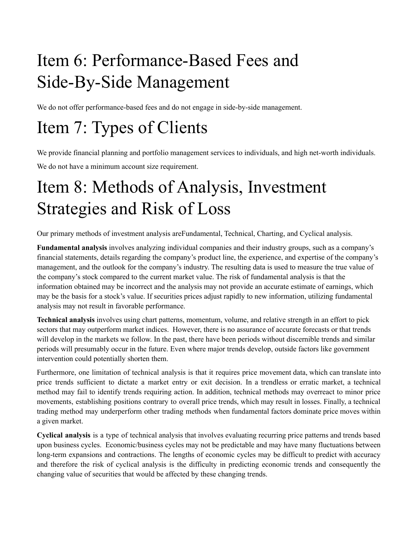# <span id="page-8-0"></span>Item 6: Performance-Based Fees and Side-By-Side Management

We do not offer performance-based fees and do not engage in side-by-side management.

## <span id="page-8-1"></span>Item 7: Types of Clients

We provide financial planning and portfolio management services to individuals, and high net-worth individuals. We do not have a minimum account size requirement.

## <span id="page-8-2"></span>Item 8: Methods of Analysis, Investment Strategies and Risk of Loss

Our primary methods of investment analysis areFundamental, Technical, Charting, and Cyclical analysis.

**Fundamental analysis** involves analyzing individual companies and their industry groups, such as a company's financial statements, details regarding the company's product line, the experience, and expertise of the company's management, and the outlook for the company's industry. The resulting data is used to measure the true value of the company's stock compared to the current market value. The risk of fundamental analysis is that the information obtained may be incorrect and the analysis may not provide an accurate estimate of earnings, which may be the basis for a stock's value. If securities prices adjust rapidly to new information, utilizing fundamental analysis may not result in favorable performance.

**Technical analysis** involves using chart patterns, momentum, volume, and relative strength in an effort to pick sectors that may outperform market indices. However, there is no assurance of accurate forecasts or that trends will develop in the markets we follow. In the past, there have been periods without discernible trends and similar periods will presumably occur in the future. Even where major trends develop, outside factors like government intervention could potentially shorten them.

Furthermore, one limitation of technical analysis is that it requires price movement data, which can translate into price trends sufficient to dictate a market entry or exit decision. In a trendless or erratic market, a technical method may fail to identify trends requiring action. In addition, technical methods may overreact to minor price movements, establishing positions contrary to overall price trends, which may result in losses. Finally, a technical trading method may underperform other trading methods when fundamental factors dominate price moves within a given market.

**Cyclical analysis** is a type of technical analysis that involves evaluating recurring price patterns and trends based upon business cycles. Economic/business cycles may not be predictable and may have many fluctuations between long-term expansions and contractions. The lengths of economic cycles may be difficult to predict with accuracy and therefore the risk of cyclical analysis is the difficulty in predicting economic trends and consequently the changing value of securities that would be affected by these changing trends.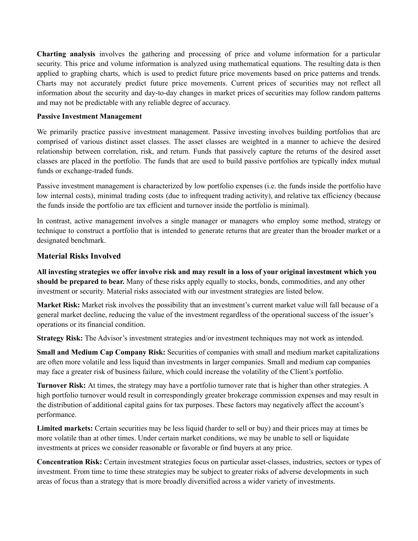**Charting analysis** involves the gathering and processing of price and volume information for a particular security. This price and volume information is analyzed using mathematical equations. The resulting data is then applied to graphing charts, which is used to predict future price movements based on price patterns and trends. Charts may not accurately predict future price movements. Current prices of securities may not reflect all information about the security and day-to-day changes in market prices of securities may follow random patterns and may not be predictable with any reliable degree of accuracy.

#### **Passive Investment Management**

We primarily practice passive investment management. Passive investing involves building portfolios that are comprised of various distinct asset classes. The asset classes are weighted in a manner to achieve the desired relationship between correlation, risk, and return. Funds that passively capture the returns of the desired asset classes are placed in the portfolio. The funds that are used to build passive portfolios are typically index mutual funds or exchange-traded funds.

Passive investment management is characterized by low portfolio expenses (i.e. the funds inside the portfolio have low internal costs), minimal trading costs (due to infrequent trading activity), and relative tax efficiency (because the funds inside the portfolio are tax efficient and turnover inside the portfolio is minimal).

In contrast, active management involves a single manager or managers who employ some method, strategy or technique to construct a portfolio that is intended to generate returns that are greater than the broader market or a designated benchmark.

#### **Material Risks Involved**

All investing strategies we offer involve risk and may result in a loss of your original investment which you **should be prepared to bear.** Many of these risks apply equally to stocks, bonds, commodities, and any other investment or security. Material risks associated with our investment strategies are listed below.

**Market Risk:** Market risk involves the possibility that an investment's current market value will fall because of a general market decline, reducing the value of the investment regardless of the operational success of the issuer's operations or its financial condition.

**Strategy Risk:** The Advisor's investment strategies and/or investment techniques may not work as intended.

**Small and Medium Cap Company Risk:** Securities of companies with small and medium market capitalizations are often more volatile and less liquid than investments in larger companies. Small and medium cap companies may face a greater risk of business failure, which could increase the volatility of the Client's portfolio.

**Turnover Risk:** At times, the strategy may have a portfolio turnover rate that is higher than other strategies. A high portfolio turnover would result in correspondingly greater brokerage commission expenses and may result in the distribution of additional capital gains for tax purposes. These factors may negatively affect the account's performance.

**Limited markets:** Certain securities may be less liquid (harder to sell or buy) and their prices may at times be more volatile than at other times. Under certain market conditions, we may be unable to sell or liquidate investments at prices we consider reasonable or favorable or find buyers at any price.

**Concentration Risk:** Certain investment strategies focus on particular asset-classes, industries, sectors or types of investment. From time to time these strategies may be subject to greater risks of adverse developments in such areas of focus than a strategy that is more broadly diversified across a wider variety of investments.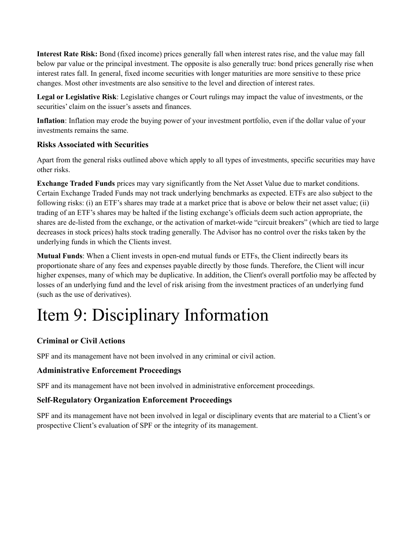**Interest Rate Risk:** Bond (fixed income) prices generally fall when interest rates rise, and the value may fall below par value or the principal investment. The opposite is also generally true: bond prices generally rise when interest rates fall. In general, fixed income securities with longer maturities are more sensitive to these price changes. Most other investments are also sensitive to the level and direction of interest rates.

**Legal or Legislative Risk**: Legislative changes or Court rulings may impact the value of investments, or the securities' claim on the issuer's assets and finances.

**Inflation**: Inflation may erode the buying power of your investment portfolio, even if the dollar value of your investments remains the same.

#### **Risks Associated with Securities**

Apart from the general risks outlined above which apply to all types of investments, specific securities may have other risks.

**Exchange Traded Funds** prices may vary significantly from the Net Asset Value due to market conditions. Certain Exchange Traded Funds may not track underlying benchmarks as expected. ETFs are also subject to the following risks: (i) an ETF's shares may trade at a market price that is above or below their net asset value; (ii) trading of an ETF's shares may be halted if the listing exchange's officials deem such action appropriate, the shares are de-listed from the exchange, or the activation of market-wide "circuit breakers" (which are tied to large decreases in stock prices) halts stock trading generally. The Advisor has no control over the risks taken by the underlying funds in which the Clients invest.

**Mutual Funds**: When a Client invests in open-end mutual funds or ETFs, the Client indirectly bears its proportionate share of any fees and expenses payable directly by those funds. Therefore, the Client will incur higher expenses, many of which may be duplicative. In addition, the Client's overall portfolio may be affected by losses of an underlying fund and the level of risk arising from the investment practices of an underlying fund (such as the use of derivatives).

# <span id="page-10-0"></span>Item 9: Disciplinary Information

### **Criminal or Civil Actions**

SPF and its management have not been involved in any criminal or civil action.

#### **Administrative Enforcement Proceedings**

SPF and its management have not been involved in administrative enforcement proceedings.

#### **Self-Regulatory Organization Enforcement Proceedings**

SPF and its management have not been involved in legal or disciplinary events that are material to a Client's or prospective Client's evaluation of SPF or the integrity of its management.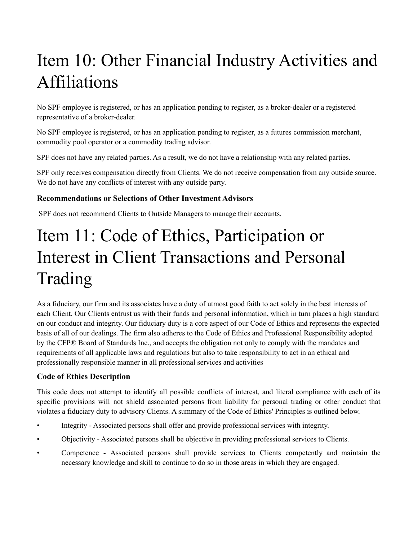# <span id="page-11-0"></span>Item 10: Other Financial Industry Activities and Affiliations

No SPF employee is registered, or has an application pending to register, as a broker-dealer or a registered representative of a broker-dealer.

No SPF employee is registered, or has an application pending to register, as a futures commission merchant, commodity pool operator or a commodity trading advisor.

SPF does not have any related parties. As a result, we do not have a relationship with any related parties.

SPF only receives compensation directly from Clients. We do not receive compensation from any outside source. We do not have any conflicts of interest with any outside party.

#### **Recommendations or Selections of Other Investment Advisors**

SPF does not recommend Clients to Outside Managers to manage their accounts.

# Item 11: Code of Ethics, Participation or Interest in Client Transactions and Personal Trading

<span id="page-11-1"></span>As a fiduciary, our firm and its associates have a duty of utmost good faith to act solely in the best interests of each Client. Our Clients entrust us with their funds and personal information, which in turn places a high standard on our conduct and integrity. Our fiduciary duty is a core aspect of our Code of Ethics and represents the expected basis of all of our dealings. The firm also adheres to the Code of Ethics and Professional Responsibility adopted by the CFP® Board of Standards Inc., and accepts the obligation not only to comply with the mandates and requirements of all applicable laws and regulations but also to take responsibility to act in an ethical and professionally responsible manner in all professional services and activities

### **Code of Ethics Description**

This code does not attempt to identify all possible conflicts of interest, and literal compliance with each of its specific provisions will not shield associated persons from liability for personal trading or other conduct that violates a fiduciary duty to advisory Clients. A summary of the Code of Ethics' Principles is outlined below.

- Integrity Associated persons shall offer and provide professional services with integrity.
- Objectivity Associated persons shall be objective in providing professional services to Clients.
- Competence Associated persons shall provide services to Clients competently and maintain the necessary knowledge and skill to continue to do so in those areas in which they are engaged.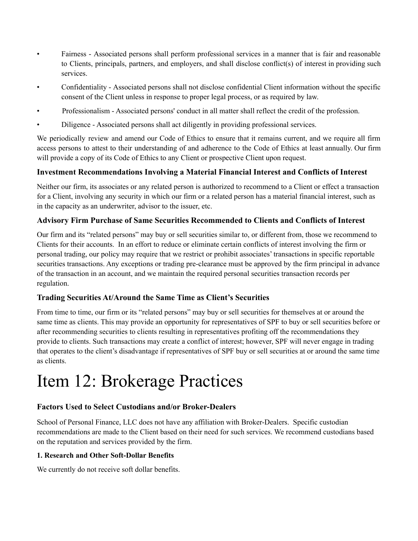- Fairness Associated persons shall perform professional services in a manner that is fair and reasonable to Clients, principals, partners, and employers, and shall disclose conflict(s) of interest in providing such services.
- Confidentiality Associated persons shall not disclose confidential Client information without the specific consent of the Client unless in response to proper legal process, or as required by law.
- Professionalism Associated persons' conduct in all matter shall reflect the credit of the profession.
- Diligence Associated persons shall act diligently in providing professional services.

We periodically review and amend our Code of Ethics to ensure that it remains current, and we require all firm access persons to attest to their understanding of and adherence to the Code of Ethics at least annually. Our firm will provide a copy of its Code of Ethics to any Client or prospective Client upon request.

#### **Investment Recommendations Involving a Material Financial Interest and Conflicts of Interest**

Neither our firm, its associates or any related person is authorized to recommend to a Client or effect a transaction for a Client, involving any security in which our firm or a related person has a material financial interest, such as in the capacity as an underwriter, advisor to the issuer, etc.

#### **Advisory Firm Purchase of Same Securities Recommended to Clients and Conflicts of Interest**

Our firm and its "related persons" may buy or sell securities similar to, or different from, those we recommend to Clients for their accounts. In an effort to reduce or eliminate certain conflicts of interest involving the firm or personal trading, our policy may require that we restrict or prohibit associates' transactions in specific reportable securities transactions. Any exceptions or trading pre-clearance must be approved by the firm principal in advance of the transaction in an account, and we maintain the required personal securities transaction records per regulation.

#### **Trading Securities At/Around the Same Time as Client's Securities**

From time to time, our firm or its "related persons" may buy or sell securities for themselves at or around the same time as clients. This may provide an opportunity for representatives of SPF to buy or sell securities before or after recommending securities to clients resulting in representatives profiting off the recommendations they provide to clients. Such transactions may create a conflict of interest; however, SPF will never engage in trading that operates to the client's disadvantage if representatives of SPF buy or sell securities at or around the same time as clients.

## <span id="page-12-0"></span>Item 12: Brokerage Practices

#### **Factors Used to Select Custodians and/or Broker-Dealers**

School of Personal Finance, LLC does not have any affiliation with Broker-Dealers. Specific custodian recommendations are made to the Client based on their need for such services. We recommend custodians based on the reputation and services provided by the firm.

#### **1. Research and Other Soft-Dollar Benefits**

We currently do not receive soft dollar benefits.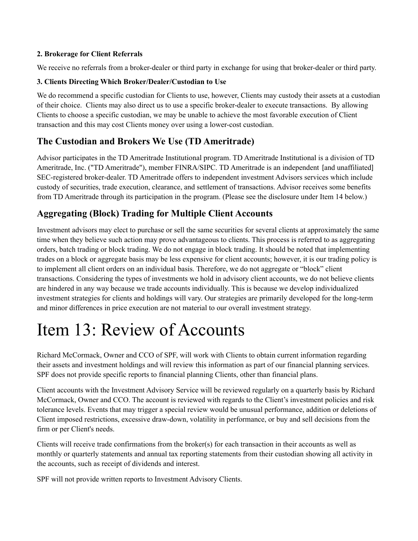#### **2. Brokerage for Client Referrals**

We receive no referrals from a broker-dealer or third party in exchange for using that broker-dealer or third party.

#### **3. Clients Directing Which Broker/Dealer/Custodian to Use**

We do recommend a specific custodian for Clients to use, however, Clients may custody their assets at a custodian of their choice. Clients may also direct us to use a specific broker-dealer to execute transactions. By allowing Clients to choose a specific custodian, we may be unable to achieve the most favorable execution of Client transaction and this may cost Clients money over using a lower-cost custodian.

### **The Custodian and Brokers We Use (TD Ameritrade)**

Advisor participates in the TD Ameritrade Institutional program. TD Ameritrade Institutional is a division of TD Ameritrade, Inc. ("TD Ameritrade"), member FINRA/SIPC. TD Ameritrade is an independent [and unaffiliated] SEC-registered broker-dealer. TD Ameritrade offers to independent investment Advisors services which include custody of securities, trade execution, clearance, and settlement of transactions. Advisor receives some benefits from TD Ameritrade through its participation in the program. (Please see the disclosure under Item 14 below.)

### **Aggregating (Block) Trading for Multiple Client Accounts**

Investment advisors may elect to purchase or sell the same securities for several clients at approximately the same time when they believe such action may prove advantageous to clients. This process is referred to as aggregating orders, batch trading or block trading. We do not engage in block trading. It should be noted that implementing trades on a block or aggregate basis may be less expensive for client accounts; however, it is our trading policy is to implement all client orders on an individual basis. Therefore, we do not aggregate or "block" client transactions. Considering the types of investments we hold in advisory client accounts, we do not believe clients are hindered in any way because we trade accounts individually. This is because we develop individualized investment strategies for clients and holdings will vary. Our strategies are primarily developed for the long-term and minor differences in price execution are not material to our overall investment strategy.

## <span id="page-13-0"></span>Item 13: Review of Accounts

Richard McCormack, Owner and CCO of SPF, will work with Clients to obtain current information regarding their assets and investment holdings and will review this information as part of our financial planning services. SPF does not provide specific reports to financial planning Clients, other than financial plans.

Client accounts with the Investment Advisory Service will be reviewed regularly on a quarterly basis by Richard McCormack, Owner and CCO. The account is reviewed with regards to the Client's investment policies and risk tolerance levels. Events that may trigger a special review would be unusual performance, addition or deletions of Client imposed restrictions, excessive draw-down, volatility in performance, or buy and sell decisions from the firm or per Client's needs.

Clients will receive trade confirmations from the broker(s) for each transaction in their accounts as well as monthly or quarterly statements and annual tax reporting statements from their custodian showing all activity in the accounts, such as receipt of dividends and interest.

SPF will not provide written reports to Investment Advisory Clients.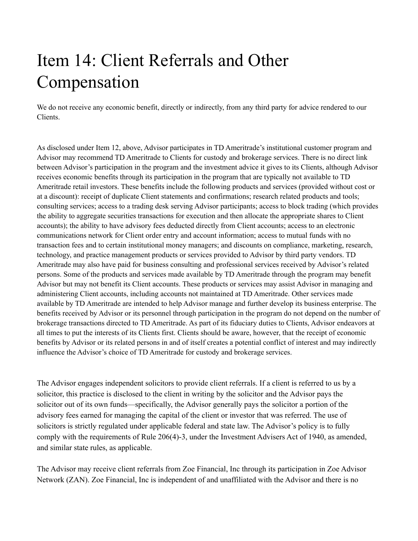## <span id="page-14-0"></span>Item 14: Client Referrals and Other Compensation

We do not receive any economic benefit, directly or indirectly, from any third party for advice rendered to our Clients.

As disclosed under Item 12, above, Advisor participates in TD Ameritrade's institutional customer program and Advisor may recommend TD Ameritrade to Clients for custody and brokerage services. There is no direct link between Advisor's participation in the program and the investment advice it gives to its Clients, although Advisor receives economic benefits through its participation in the program that are typically not available to TD Ameritrade retail investors. These benefits include the following products and services (provided without cost or at a discount): receipt of duplicate Client statements and confirmations; research related products and tools; consulting services; access to a trading desk serving Advisor participants; access to block trading (which provides the ability to aggregate securities transactions for execution and then allocate the appropriate shares to Client accounts); the ability to have advisory fees deducted directly from Client accounts; access to an electronic communications network for Client order entry and account information; access to mutual funds with no transaction fees and to certain institutional money managers; and discounts on compliance, marketing, research, technology, and practice management products or services provided to Advisor by third party vendors. TD Ameritrade may also have paid for business consulting and professional services received by Advisor's related persons. Some of the products and services made available by TD Ameritrade through the program may benefit Advisor but may not benefit its Client accounts. These products or services may assist Advisor in managing and administering Client accounts, including accounts not maintained at TD Ameritrade. Other services made available by TD Ameritrade are intended to help Advisor manage and further develop its business enterprise. The benefits received by Advisor or its personnel through participation in the program do not depend on the number of brokerage transactions directed to TD Ameritrade. As part of its fiduciary duties to Clients, Advisor endeavors at all times to put the interests of its Clients first. Clients should be aware, however, that the receipt of economic benefits by Advisor or its related persons in and of itself creates a potential conflict of interest and may indirectly influence the Advisor's choice of TD Ameritrade for custody and brokerage services.

The Advisor engages independent solicitors to provide client referrals. If a client is referred to us by a solicitor, this practice is disclosed to the client in writing by the solicitor and the Advisor pays the solicitor out of its own funds—specifically, the Advisor generally pays the solicitor a portion of the advisory fees earned for managing the capital of the client or investor that was referred. The use of solicitors is strictly regulated under applicable federal and state law. The Advisor's policy is to fully comply with the requirements of Rule 206(4)-3, under the Investment Advisers Act of 1940, as amended, and similar state rules, as applicable.

The Advisor may receive client referrals from Zoe Financial, Inc through its participation in Zoe Advisor Network (ZAN). Zoe Financial, Inc is independent of and unaffiliated with the Advisor and there is no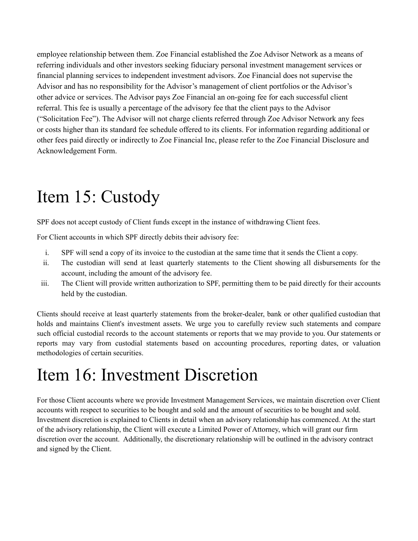employee relationship between them. Zoe Financial established the Zoe Advisor Network as a means of referring individuals and other investors seeking fiduciary personal investment management services or financial planning services to independent investment advisors. Zoe Financial does not supervise the Advisor and has no responsibility for the Advisor's management of client portfolios or the Advisor's other advice or services. The Advisor pays Zoe Financial an on-going fee for each successful client referral. This fee is usually a percentage of the advisory fee that the client pays to the Advisor ("Solicitation Fee"). The Advisor will not charge clients referred through Zoe Advisor Network any fees or costs higher than its standard fee schedule offered to its clients. For information regarding additional or other fees paid directly or indirectly to Zoe Financial Inc, please refer to the Zoe Financial Disclosure and Acknowledgement Form.

## <span id="page-15-0"></span>Item 15: Custody

SPF does not accept custody of Client funds except in the instance of withdrawing Client fees.

For Client accounts in which SPF directly debits their advisory fee:

- i. SPF will send a copy of its invoice to the custodian at the same time that it sends the Client a copy.
- ii. The custodian will send at least quarterly statements to the Client showing all disbursements for the account, including the amount of the advisory fee.
- iii. The Client will provide written authorization to SPF, permitting them to be paid directly for their accounts held by the custodian.

Clients should receive at least quarterly statements from the broker-dealer, bank or other qualified custodian that holds and maintains Client's investment assets. We urge you to carefully review such statements and compare such official custodial records to the account statements or reports that we may provide to you. Our statements or reports may vary from custodial statements based on accounting procedures, reporting dates, or valuation methodologies of certain securities.

## <span id="page-15-1"></span>Item 16: Investment Discretion

For those Client accounts where we provide Investment Management Services, we maintain discretion over Client accounts with respect to securities to be bought and sold and the amount of securities to be bought and sold. Investment discretion is explained to Clients in detail when an advisory relationship has commenced. At the start of the advisory relationship, the Client will execute a Limited Power of Attorney, which will grant our firm discretion over the account. Additionally, the discretionary relationship will be outlined in the advisory contract and signed by the Client.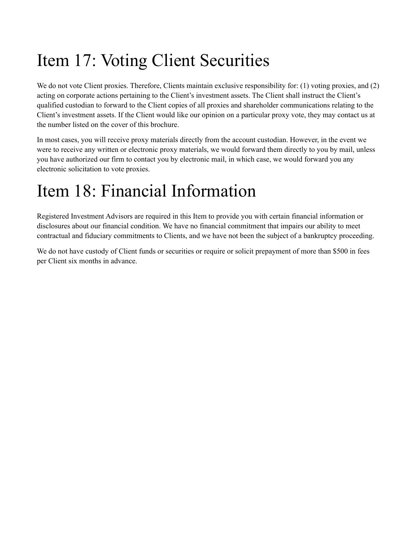# <span id="page-16-0"></span>Item 17: Voting Client Securities

We do not vote Client proxies. Therefore, Clients maintain exclusive responsibility for: (1) voting proxies, and (2) acting on corporate actions pertaining to the Client's investment assets. The Client shall instruct the Client's qualified custodian to forward to the Client copies of all proxies and shareholder communications relating to the Client's investment assets. If the Client would like our opinion on a particular proxy vote, they may contact us at the number listed on the cover of this brochure.

In most cases, you will receive proxy materials directly from the account custodian. However, in the event we were to receive any written or electronic proxy materials, we would forward them directly to you by mail, unless you have authorized our firm to contact you by electronic mail, in which case, we would forward you any electronic solicitation to vote proxies.

## <span id="page-16-1"></span>Item 18: Financial Information

Registered Investment Advisors are required in this Item to provide you with certain financial information or disclosures about our financial condition. We have no financial commitment that impairs our ability to meet contractual and fiduciary commitments to Clients, and we have not been the subject of a bankruptcy proceeding.

We do not have custody of Client funds or securities or require or solicit prepayment of more than \$500 in fees per Client six months in advance.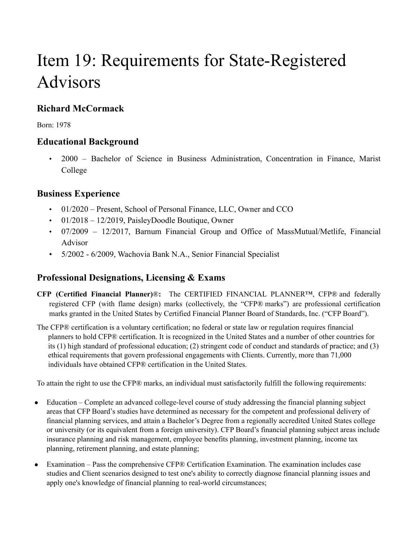# <span id="page-17-0"></span>Item 19: Requirements for State-Registered Advisors

## **Richard McCormack**

Born: 1978

### **Educational Background**

• 2000 – Bachelor of Science in Business Administration, Concentration in Finance, Marist College

### **Business Experience**

- 01/2020 Present, School of Personal Finance, LLC, Owner and CCO
- $\cdot$  01/2018 12/2019, PaisleyDoodle Boutique, Owner
- 07/2009 12/2017, Barnum Financial Group and Office of MassMutual/Metlife, Financial Advisor
- 5/2002 6/2009, Wachovia Bank N.A., Senior Financial Specialist

## **Professional Designations, Licensing & Exams**

- **CFP (Certified Financial Planner)**®**:** The CERTIFIED FINANCIAL PLANNER™, CFP® and federally registered CFP (with flame design) marks (collectively, the "CFP® marks") are professional certification marks granted in the United States by Certified Financial Planner Board of Standards, Inc. ("CFP Board").
- The CFP® certification is a voluntary certification; no federal or state law or regulation requires financial planners to hold CFP® certification. It is recognized in the United States and a number of other countries for its (1) high standard of professional education; (2) stringent code of conduct and standards of practice; and (3) ethical requirements that govern professional engagements with Clients. Currently, more than 71,000 individuals have obtained CFP® certification in the United States.

To attain the right to use the CFP® marks, an individual must satisfactorily fulfill the following requirements:

- Education Complete an advanced college-level course of study addressing the financial planning subject areas that CFP Board's studies have determined as necessary for the competent and professional delivery of financial planning services, and attain a Bachelor's Degree from a regionally accredited United States college or university (or its equivalent from a foreign university). CFP Board's financial planning subject areas include insurance planning and risk management, employee benefits planning, investment planning, income tax planning, retirement planning, and estate planning;
- Examination Pass the comprehensive CFP® Certification Examination. The examination includes case studies and Client scenarios designed to test one's ability to correctly diagnose financial planning issues and apply one's knowledge of financial planning to real-world circumstances;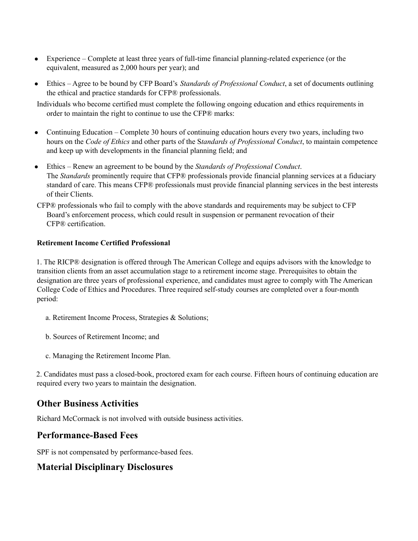- Experience Complete at least three years of full-time financial planning-related experience (or the equivalent, measured as 2,000 hours per year); and
- Ethics Agree to be bound by CFP Board's *Standards of Professional Conduct*, a set of documents outlining the ethical and practice standards for CFP® professionals.

Individuals who become certified must complete the following ongoing education and ethics requirements in order to maintain the right to continue to use the CFP® marks:

- Continuing Education Complete 30 hours of continuing education hours every two years, including two hours on the *Code of Ethics* and other parts of the S*tandards of Professional Conduct*, to maintain competence and keep up with developments in the financial planning field; and
- Ethics Renew an agreement to be bound by the *Standards of Professional Conduct*. The *Standards* prominently require that CFP® professionals provide financial planning services at a fiduciary standard of care. This means CFP® professionals must provide financial planning services in the best interests of their Clients.
- CFP® professionals who fail to comply with the above standards and requirements may be subject to CFP Board's enforcement process, which could result in suspension or permanent revocation of their CFP® certification.

#### **Retirement Income Certified Professional**

1. The RICP® designation is offered through The American College and equips advisors with the knowledge to transition clients from an asset accumulation stage to a retirement income stage. Prerequisites to obtain the designation are three years of professional experience, and candidates must agree to comply with The American College Code of Ethics and Procedures. Three required self-study courses are completed over a four-month period:

- a. Retirement Income Process, Strategies & Solutions;
- b. Sources of Retirement Income; and
- c. Managing the Retirement Income Plan.

2. Candidates must pass a closed-book, proctored exam for each course. Fifteen hours of continuing education are required every two years to maintain the designation.

#### **Other Business Activities**

Richard McCormack is not involved with outside business activities.

#### **Performance-Based Fees**

SPF is not compensated by performance-based fees.

### **Material Disciplinary Disclosures**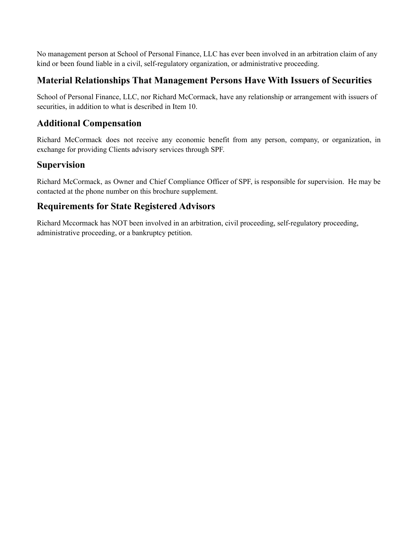No management person at School of Personal Finance, LLC has ever been involved in an arbitration claim of any kind or been found liable in a civil, self-regulatory organization, or administrative proceeding.

### **Material Relationships That Management Persons Have With Issuers of Securities**

School of Personal Finance, LLC, nor Richard McCormack, have any relationship or arrangement with issuers of securities, in addition to what is described in Item 10.

### **Additional Compensation**

Richard McCormack does not receive any economic benefit from any person, company, or organization, in exchange for providing Clients advisory services through SPF.

### **Supervision**

Richard McCormack, as Owner and Chief Compliance Officer of SPF, is responsible for supervision. He may be contacted at the phone number on this brochure supplement.

### **Requirements for State Registered Advisors**

Richard Mccormack has NOT been involved in an arbitration, civil proceeding, self-regulatory proceeding, administrative proceeding, or a bankruptcy petition.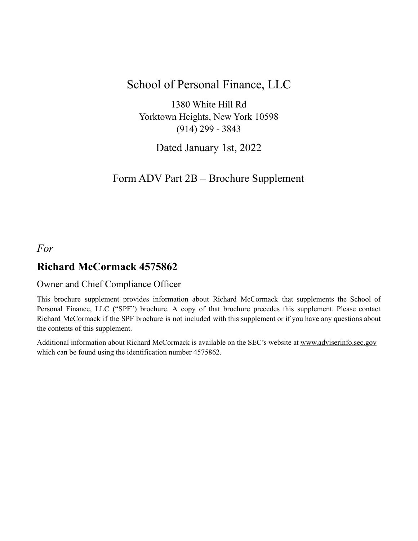## School of Personal Finance, LLC

1380 White Hill Rd Yorktown Heights, New York 10598 (914) 299 - 3843

Dated January 1st, 2022

## Form ADV Part 2B – Brochure Supplement

### <span id="page-20-0"></span>*For*

### **Richard McCormack 4575862**

#### Owner and Chief Compliance Officer

This brochure supplement provides information about Richard McCormack that supplements the School of Personal Finance, LLC ("SPF") brochure. A copy of that brochure precedes this supplement. Please contact Richard McCormack if the SPF brochure is not included with this supplement or if you have any questions about the contents of this supplement.

Additional information about Richard McCormack is available on the SEC's website at [www.adviserinfo.sec.gov](http://www.adviserinfo.sec.gov) which can be found using the identification number 4575862.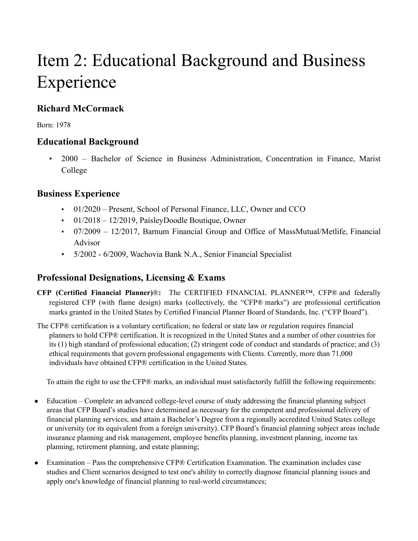# Item 2: Educational Background and Business Experience

## **Richard McCormack**

Born: 1978

### **Educational Background**

• 2000 – Bachelor of Science in Business Administration, Concentration in Finance, Marist College

### **Business Experience**

- 01/2020 Present, School of Personal Finance, LLC, Owner and CCO
- $\cdot$  01/2018 12/2019, PaisleyDoodle Boutique, Owner
- 07/2009 12/2017, Barnum Financial Group and Office of MassMutual/Metlife, Financial Advisor
- 5/2002 6/2009, Wachovia Bank N.A., Senior Financial Specialist

### **Professional Designations, Licensing & Exams**

- **CFP (Certified Financial Planner)**®**:** The CERTIFIED FINANCIAL PLANNER™, CFP® and federally registered CFP (with flame design) marks (collectively, the "CFP® marks") are professional certification marks granted in the United States by Certified Financial Planner Board of Standards, Inc. ("CFP Board").
- The CFP® certification is a voluntary certification; no federal or state law or regulation requires financial planners to hold CFP® certification. It is recognized in the United States and a number of other countries for its (1) high standard of professional education; (2) stringent code of conduct and standards of practice; and (3) ethical requirements that govern professional engagements with Clients. Currently, more than 71,000 individuals have obtained CFP® certification in the United States.

To attain the right to use the CFP® marks, an individual must satisfactorily fulfill the following requirements:

- Education Complete an advanced college-level course of study addressing the financial planning subject areas that CFP Board's studies have determined as necessary for the competent and professional delivery of financial planning services, and attain a Bachelor's Degree from a regionally accredited United States college or university (or its equivalent from a foreign university). CFP Board's financial planning subject areas include insurance planning and risk management, employee benefits planning, investment planning, income tax planning, retirement planning, and estate planning;
- Examination Pass the comprehensive CFP® Certification Examination. The examination includes case studies and Client scenarios designed to test one's ability to correctly diagnose financial planning issues and apply one's knowledge of financial planning to real-world circumstances;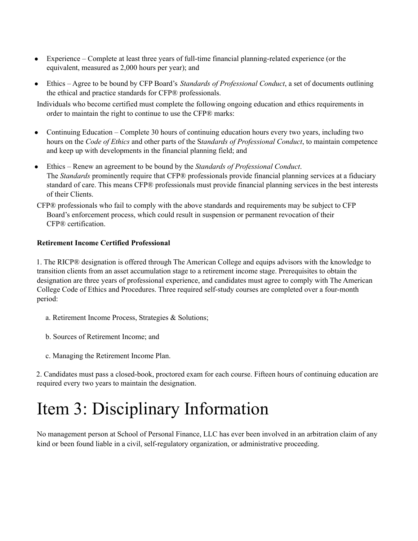- Experience Complete at least three years of full-time financial planning-related experience (or the equivalent, measured as 2,000 hours per year); and
- Ethics Agree to be bound by CFP Board's *Standards of Professional Conduct*, a set of documents outlining the ethical and practice standards for CFP® professionals.

Individuals who become certified must complete the following ongoing education and ethics requirements in order to maintain the right to continue to use the CFP® marks:

- Continuing Education Complete 30 hours of continuing education hours every two years, including two hours on the *Code of Ethics* and other parts of the S*tandards of Professional Conduct*, to maintain competence and keep up with developments in the financial planning field; and
- Ethics Renew an agreement to be bound by the *Standards of Professional Conduct*. The *Standards* prominently require that CFP® professionals provide financial planning services at a fiduciary standard of care. This means CFP® professionals must provide financial planning services in the best interests of their Clients.
- CFP® professionals who fail to comply with the above standards and requirements may be subject to CFP Board's enforcement process, which could result in suspension or permanent revocation of their CFP® certification.

#### **Retirement Income Certified Professional**

1. The RICP® designation is offered through The American College and equips advisors with the knowledge to transition clients from an asset accumulation stage to a retirement income stage. Prerequisites to obtain the designation are three years of professional experience, and candidates must agree to comply with The American College Code of Ethics and Procedures. Three required self-study courses are completed over a four-month period:

- a. Retirement Income Process, Strategies & Solutions;
- b. Sources of Retirement Income; and
- c. Managing the Retirement Income Plan.

2. Candidates must pass a closed-book, proctored exam for each course. Fifteen hours of continuing education are required every two years to maintain the designation.

## Item 3: Disciplinary Information

No management person at School of Personal Finance, LLC has ever been involved in an arbitration claim of any kind or been found liable in a civil, self-regulatory organization, or administrative proceeding.